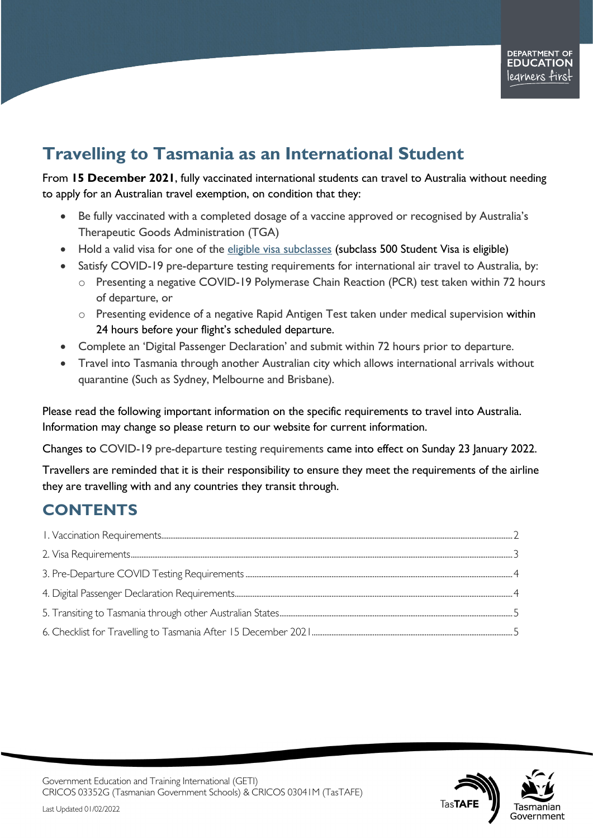# **Travelling to Tasmania as an International Student**

From **15 December 2021**, fully vaccinated international students can travel to Australia without needing to apply for an Australian travel exemption, on condition that they:

- Be fully vaccinated with a completed dosage of a vaccine approved or recognised by Australia's Therapeutic Goods Administration (TGA)
- Hold a valid visa for one of the eligible visa [subclasses](https://covid19.homeaffairs.gov.au/vaccinated-travellers) (subclass 500 Student Visa is eligible)
- Satisfy COVID-19 pre-departure testing requirements for international air travel to Australia, by:
	- o Presenting a negative COVID-19 Polymerase Chain Reaction (PCR) test taken within 72 hours of departure, or
	- o Presenting evidence of a negative Rapid Antigen Test taken under medical supervision within 24 hours before your flight's scheduled departure.
- Complete an 'Digital Passenger Declaration' and submit within 72 hours prior to departure.
- Travel into Tasmania through another Australian city which allows international arrivals without quarantine (Such as Sydney, Melbourne and Brisbane).

Please read the following important information on the specific requirements to travel into Australia. Information may change so please return to our website for current information.

Changes to COVID-19 pre-departure testing requirements came into effect on Sunday 23 January 2022.

Travellers are reminded that it is their responsibility to ensure they meet the requirements of the airline they are travelling with and any countries they transit through.

## **CONTENTS**

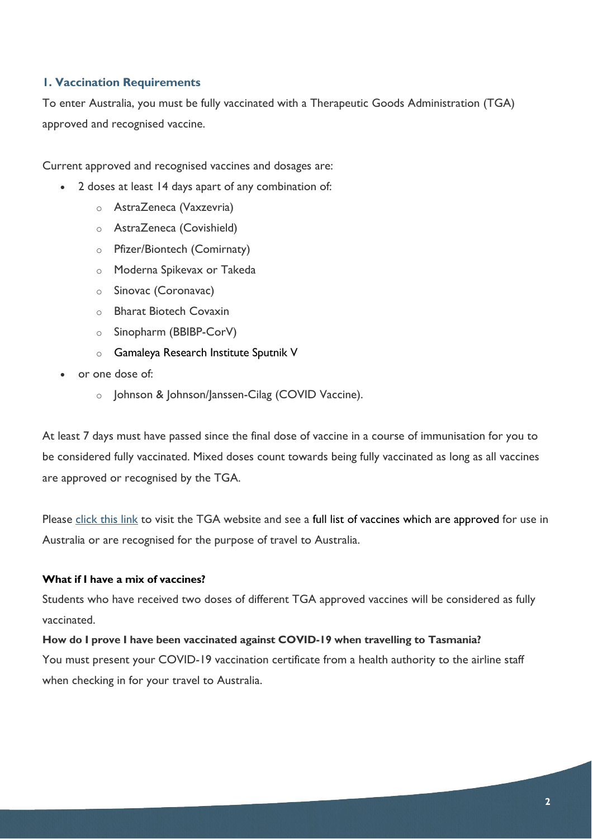#### <span id="page-1-0"></span>**1. Vaccination Requirements**

To enter Australia, you must be fully vaccinated with a Therapeutic Goods Administration (TGA) approved and recognised vaccine.

Current approved and recognised vaccines and dosages are:

- 2 doses at least 14 days apart of any combination of:
	- o AstraZeneca (Vaxzevria)
	- o AstraZeneca (Covishield)
	- o Pfizer/Biontech (Comirnaty)
	- o Moderna Spikevax or Takeda
	- o Sinovac (Coronavac)
	- o Bharat Biotech Covaxin
	- o Sinopharm (BBIBP-CorV)
	- o Gamaleya Research Institute Sputnik V
- or one dose of:
	- o Johnson & Johnson/Janssen-Cilag (COVID Vaccine).

At least 7 days must have passed since the final dose of vaccine in a course of immunisation for you to be considered fully vaccinated. Mixed doses count towards being fully vaccinated as long as all vaccines are approved or recognised by the TGA.

Please click [this link](https://www.tga.gov.au/international-covid-19-vaccines-recognised-australia) to visit the TGA website and see a full list of vaccines which are approved for use in Australia or are recognised for the purpose of travel to Australia.

#### **What if I have a mix of vaccines?**

Students who have received two doses of different TGA approved vaccines will be considered as fully vaccinated.

#### **How do I prove I have been vaccinated against COVID-19 when travelling to Tasmania?**

You must present your COVID-19 vaccination certificate from a health authority to the airline staff when checking in for your travel to Australia.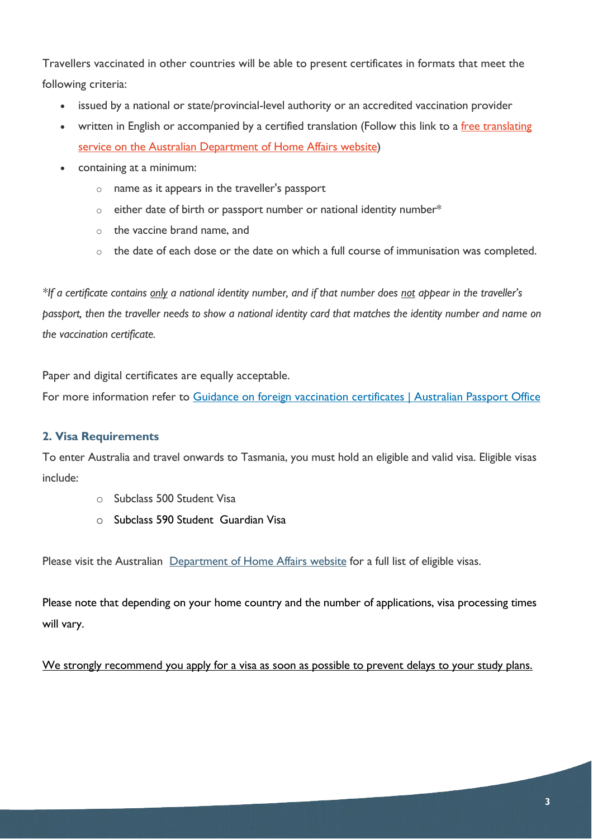Travellers vaccinated in other countries will be able to present certificates in formats that meet the following criteria:

- issued by a national or state/provincial-level authority or an accredited vaccination provider
- written in English or accompanied by a certified translation (Follow this link to a free translating [service on the Australian Department of Home Affairs website\)](https://translating.homeaffairs.gov.au/en)
- containing at a minimum:
	- o name as it appears in the traveller's passport
	- $\circ$  either date of birth or passport number or national identity number\*
	- o the vaccine brand name, and
	- o the date of each dose or the date on which a full course of immunisation was completed.

*\*If a certificate contains only a national identity number, and if that number does not appear in the traveller's passport, then the traveller needs to show a national identity card that matches the identity number and name on the vaccination certificate.*

Paper and digital certificates are equally acceptable.

For more information refer to [Guidance on foreign vaccination certificates | Australian Passport Office](https://www.passports.gov.au/guidance-foreign-vaccination-certificates)

## <span id="page-2-0"></span>**2. Visa Requirements**

To enter Australia and travel onwards to Tasmania, you must hold an eligible and valid visa. Eligible visas include:

- o Subclass 500 Student Visa
- o Subclass 590 Student Guardian Visa

Please visit the Australian [Department of Home Affairs website](https://covid19.homeaffairs.gov.au/vaccinated-travellers#toc-7) for a full list of eligible visas.

Please note that depending on your home country and the number of applications, visa processing times will vary.

<span id="page-2-1"></span>We strongly recommend you apply for a visa as soon as possible to prevent delays to your study plans.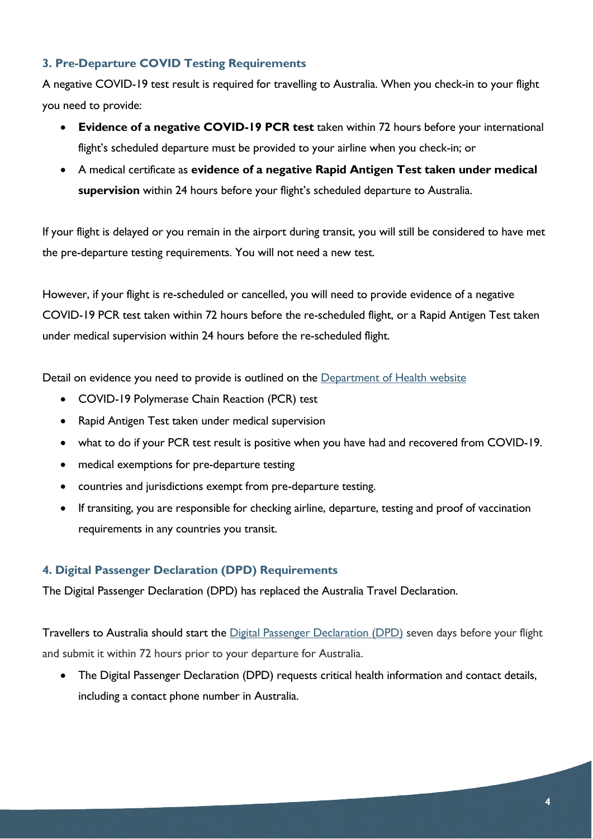## **3. Pre-Departure COVID Testing Requirements**

A negative COVID-19 test result is required for travelling to Australia. When you check-in to your flight you need to provide:

- **Evidence of a negative COVID-19 PCR test** taken within 72 hours before your international flight's scheduled departure must be provided to your airline when you check-in; or
- A medical certificate as **evidence of a negative Rapid Antigen Test taken under medical supervision** within 24 hours before your flight's scheduled departure to Australia.

If your flight is delayed or you remain in the airport during transit, you will still be considered to have met the pre-departure testing requirements. You will not need a new test.

However, if your flight is re-scheduled or cancelled, you will need to provide evidence of a negative COVID-19 PCR test taken within 72 hours before the re-scheduled flight, or a Rapid Antigen Test taken under medical supervision within 24 hours before the re-scheduled flight.

Detail on evidence you need to provide is outlined on the [Department of Health website](https://www.health.gov.au/health-alerts/covid-19/international-travel/inbound#predeparture-testing)

- COVID-19 Polymerase Chain Reaction (PCR) test
- Rapid Antigen Test taken under medical supervision
- what to do if your PCR test result is positive when you have had and recovered from COVID-19.
- medical exemptions for pre-departure testing
- countries and jurisdictions exempt from pre-departure testing.
- If transiting, you are responsible for checking airline, departure, testing and proof of vaccination requirements in any countries you transit.

#### <span id="page-3-0"></span>**4. Digital Passenger Declaration (DPD) Requirements**

The Digital Passenger Declaration (DPD) has replaced the Australia Travel Declaration.

Travellers to Australia should start the [Digital Passenger Declaration \(DPD\)](https://dpd.homeaffairs.gov.au/) seven days before your flight and submit it within 72 hours prior to your departure for Australia.

• The Digital Passenger Declaration (DPD) requests critical health information and contact details, including a contact phone number in Australia.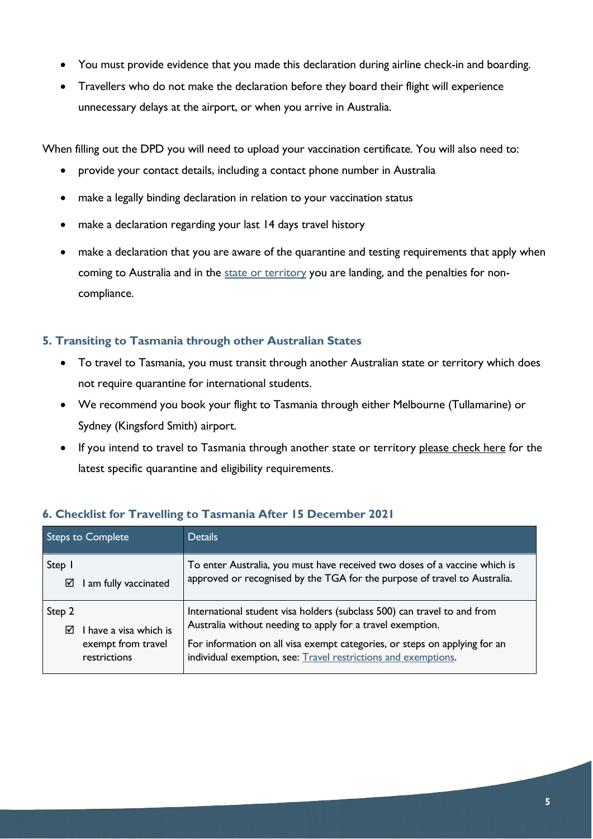- You must provide evidence that you made this declaration during airline check-in and boarding.
- Travellers who do not make the declaration before they board their flight will experience unnecessary delays at the airport, or when you arrive in Australia.

When filling out the DPD you will need to upload your vaccination certificate. You will also need to:

- provide your contact details, including a contact phone number in Australia
- make a legally binding declaration in relation to your vaccination status
- make a declaration regarding your last 14 days travel history
- make a declaration that you are aware of the quarantine and testing requirements that apply when coming to Australia and in the [state or territory](https://www.australia.gov.au/states) you are landing, and the penalties for noncompliance.

#### <span id="page-4-0"></span>**5. Transiting to Tasmania through other Australian States**

- To travel to Tasmania, you must transit through another Australian state or territory which does not require quarantine for international students.
- We recommend you book your flight to Tasmania through either Melbourne (Tullamarine) or Sydney (Kingsford Smith) airport.
- If you intend to travel to Tasmania through another state or territory [please check here](https://www.australia.gov.au/international-travel#:%7E:text=Quarantine%20requirements%20in%20Australia%20are%20determined%20by%20State,between%20NSW%2C%20Victoria%20and%20the%20ACT%20without%20quarantining.) for the latest specific quarantine and eligibility requirements.

| <b>Steps to Complete</b>                                                    | <b>Details</b>                                                                                                                                                                                                                                                                         |
|-----------------------------------------------------------------------------|----------------------------------------------------------------------------------------------------------------------------------------------------------------------------------------------------------------------------------------------------------------------------------------|
| Step 1<br>I am fully vaccinated<br>☑                                        | To enter Australia, you must have received two doses of a vaccine which is<br>approved or recognised by the TGA for the purpose of travel to Australia.                                                                                                                                |
| Step 2<br>I have a visa which is<br>⊠<br>exempt from travel<br>restrictions | International student visa holders (subclass 500) can travel to and from<br>Australia without needing to apply for a travel exemption.<br>For information on all visa exempt categories, or steps on applying for an<br>individual exemption, see: Travel restrictions and exemptions. |

## <span id="page-4-1"></span>**6. Checklist for Travelling to Tasmania After 15 December 2021**